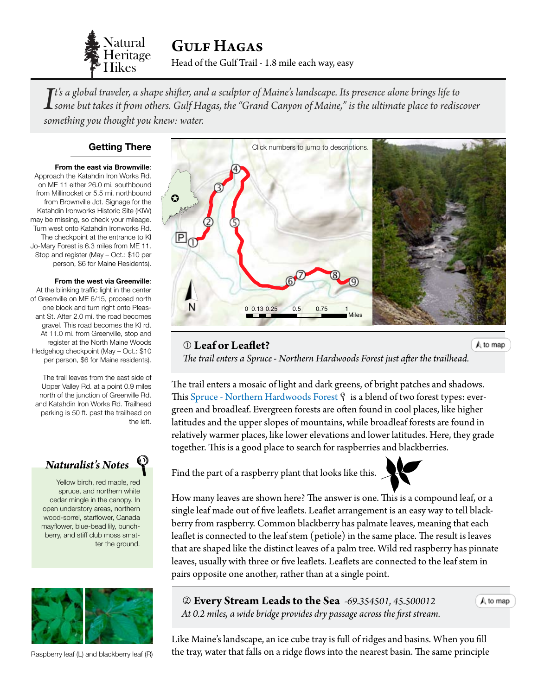

Head of the Gulf Trail - 1.8 mile each way, easy Gulf Hagas

*I*<sup>t's</sup> a global traveler, a shape shifter, and a sculptor of Maine's landscape. Its presence alone brings life to<br>I some but takes it from others. Gulf Hagas, the "Grand Canyon of Maine," is the ultimate place to redisco *t's a global traveler, a shape shifter, and a sculptor of Maine's landscape. Its presence alone brings life to something you thought you knew: water.*

#### **Getting There**

**From the east via Brownville**:

Approach the Katahdin Iron Works Rd. on ME 11 either 26.0 mi. southbound from Millinocket or 5.5 mi. northbound from Brownville Jct. Signage for the Katahdin Ironworks Historic Site (KIW) may be missing, so check your mileage. Turn west onto Katahdin Ironworks Rd. The checkpoint at the entrance to KI Jo-Mary Forest is 6.3 miles from ME 11. Stop and register (May – Oct.: \$10 per person, \$6 for Maine Residents).

**From the west via Greenville**:

At the blinking traffic light in the center of Greenville on ME 6/15, proceed north one block and turn right onto Pleasant St. After 2.0 mi. the road becomes gravel. This road becomes the KI rd. At 11.0 mi. from Greenville, stop and register at the North Maine Woods Hedgehog checkpoint (May – Oct.: \$10 per person, \$6 for Maine residents).

The trail leaves from the east side of Upper Valley Rd. at a point 0.9 miles north of the junction of Greenville Rd. and Katahdin Iron Works Rd. Trailhead parking is 50 ft. past the trailhead on the left.



Yellow birch, red maple, red spruce, and northern white cedar mingle in the canopy. In open understory areas, northern wood-sorrel, starflower, Canada mayflower, blue-bead lily, bunchberry, and stiff club moss smatter the ground.



Raspberry leaf (L) and blackberry leaf (R)

<span id="page-0-0"></span>

## **Leaf or Leaflet?**

 $A$  to map

*The trail enters a Spruce - Northern Hardwoods Forest just after the trailh[ead.](#page-0-0)*

The trail enters a mosaic of light and dark greens, of bright patches and shadows. This [Spruce - Northern Hardwoods Forest](http://www.maine.gov/dacf/mnap/features/communities/sprucenorthernhardwood.htm)  $\hat{y}$  is a blend of two forest types: evergreen and broadleaf. Evergreen forests are often found in cool places, like higher latitudes and the upper slopes of mountains, while broadleaf forests are found in relatively warmer places, like lower elevations and lower latitudes. Here, they grade together. This is a good place to search for raspberries and blackberries.

Find the part of a raspberry plant that looks like this.



How many leaves are shown here? The answer is one. This is a compound leaf, or a single leaf made out of five leaflets. Leaflet arrangement is an easy way to tell blackberry from raspberry. Common blackberry has palmate leaves, meaning that each leaflet is connected to the leaf stem (petiole) in the same place. The result is leaves that are shaped like the distinct leaves of a palm tree. Wild red raspberry has pinnate leaves, usually with three or five leaflets. Leaflets are connected to the leaf stem in pairs opposite one another, rather than at a single point.

 **Every Stream Leads to the Sea** *-69.354501, 45.500012 At 0.2 miles, a wide bridge provides dry passage across the first stream.* A to map

Like Maine's landscape, an ice cube tray is full of ridges and basins. When you fill the tray, water that falls on a ridge flows into the nearest basin. The same principle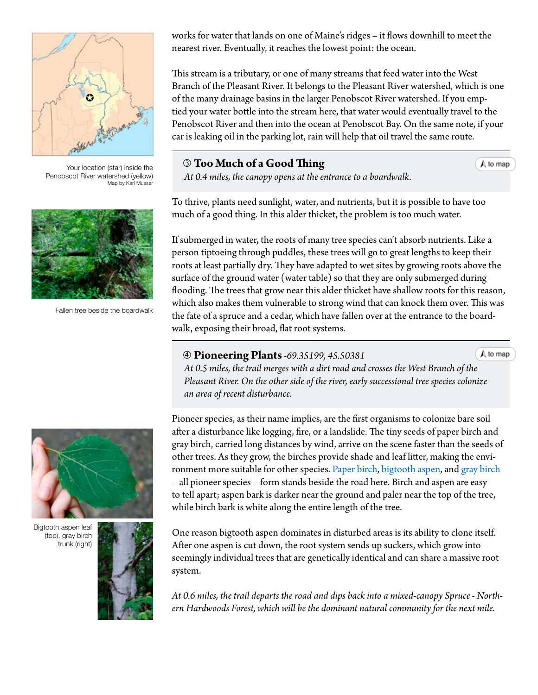

Your location (star) inside the Penobscot River watershed (yellow) Map by Karl Musser



Fallen tree beside the boardwalk

works for water that lands on one of Maine's ridges – it flows downhill to meet the nearest river. Eventually, it reaches the lowest point: the ocean.

This stream is a tributary, or one of many streams that feed water into the West Branch of the Pleasant River. It belongs to the Pleasant River watershed, which is one of the many drainage basins in the larger Penobscot River watershed. If you emptied your water bottle into the stream here, that water would eventually travel to the Penobscot River and then into the ocean at Penobscot Bay. On the same note, if your car is leaking oil in the parking lot, rain will help that oil travel the same route.

# **Too Much of a Good Thing**

 $A$  to map

 *At 0.4 miles, the canopy opens at the entrance to a boardwalk.*

To thrive, plants need sunlight, water, and nutrients, but it is possible to have too much of a good thing. In this alder thicket, the problem is too much water.

If submerged in water, the roots of many tree species can't absorb nutrients. Like a person tiptoeing through puddles, these trees will go to great lengths to keep their roots at least partially dry. They have adapted to wet sites by growing roots above the surface of the ground water (water table) so that they are only submerged during flooding. The trees that grow near this alder thicket have shallow roots for this reason, which also makes them vulnerable to strong wind that can knock them over. This was the fate of a spruce and a cedar, which have fallen over at the entrance to the boardwalk, exposing their broad, flat root systems.

#### **Pioneering Plants***-69.35199, 45.50381*

 $A$  to map

 *At 0.5 miles, the trail merges with a dirt road and crosses the West Branch [of the](#page-0-0) Pleasant River. On the other side of the river, early successional tree species colonize an area of recent disturbance.*

Pioneer species, as their name implies, are the first organisms to colonize bare soil after a disturbance like logging, fire, or a landslide. The tiny seeds of paper birch and gray birch, carried long distances by wind, arrive on the scene faster than the seeds of other trees. As they grow, the birches provide shade and leaf litter, making the environment more suitable for other species. [Paper birch,](http://dendro.cnre.vt.edu/dendrology/syllabus/factsheet.cfm?ID=14) [bigtooth aspen](http://dendro.cnre.vt.edu/dendrology/syllabus/factsheet.cfm?ID=65), and [gray birch](http://dendro.cnre.vt.edu/dendrology/syllabus/factsheet.cfm?ID=16) – all pioneer species – form stands beside the road here. Birch and aspen are easy to tell apart; aspen bark is darker near the ground and paler near the top of the tree, while birch bark is white along the entire length of the tree.

One reason bigtooth aspen dominates in disturbed areas is its ability to clone itself. After one aspen is cut down, the root system sends up suckers, which grow into seemingly individual trees that are genetically identical and can share a massive root system.

*At 0.6 miles, the trail departs the road and dips back into a mixed-canopy Spruce - Northern Hardwoods Forest, which will be the dominant natural community for the next mile.*



Bigtooth aspen leaf (top), gray birch trunk (right)

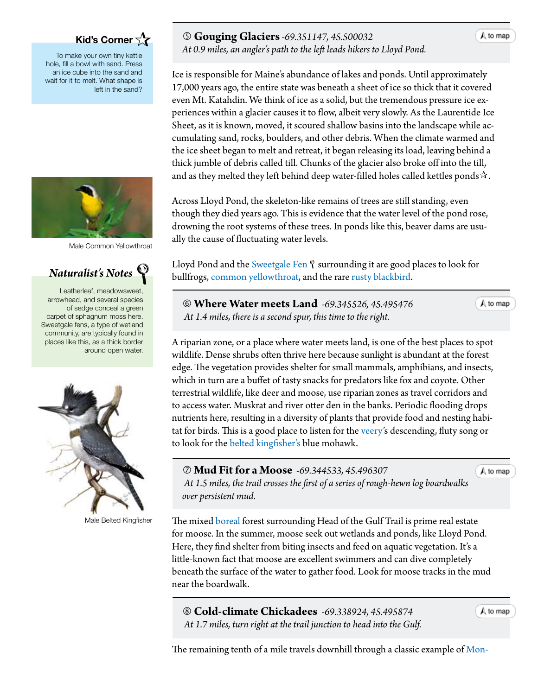# **[Kid's Corner](http://www.maine.gov/dacf/mnap/features/communities/montanesprucefirforest.htm)**

[To make your own tiny kettle](http://www.maine.gov/dacf/mnap/features/communities/montanesprucefirforest.htm) [hole, fill a bowl with sand. Press](http://www.maine.gov/dacf/mnap/features/communities/montanesprucefirforest.htm) [an ice cube into the sand and](http://www.maine.gov/dacf/mnap/features/communities/montanesprucefirforest.htm) [wait for it to melt. What shape is](http://www.maine.gov/dacf/mnap/features/communities/montanesprucefirforest.htm) [left in the sand?](http://www.maine.gov/dacf/mnap/features/communities/montanesprucefirforest.htm)



[Male Common Yellowthroat](http://www.maine.gov/dacf/mnap/features/communities/montanesprucefirforest.htm)

# *Naturalist's Notes*

[Leatherleaf, meadowsweet,](http://www.maine.gov/dacf/mnap/features/communities/montanesprucefirforest.htm) [arrowhead, and several species](http://www.maine.gov/dacf/mnap/features/communities/montanesprucefirforest.htm) [of sedge conceal a green](http://www.maine.gov/dacf/mnap/features/communities/montanesprucefirforest.htm) [carpet of sphagnum moss here.](http://www.maine.gov/dacf/mnap/features/communities/montanesprucefirforest.htm) [Sweetgale fens, a type of wetland](http://www.maine.gov/dacf/mnap/features/communities/montanesprucefirforest.htm) [community, are typically found in](http://www.maine.gov/dacf/mnap/features/communities/montanesprucefirforest.htm) [places like this, as a thick border](http://www.maine.gov/dacf/mnap/features/communities/montanesprucefirforest.htm) [around open water.](http://www.maine.gov/dacf/mnap/features/communities/montanesprucefirforest.htm)



[Male Belted Kingfisher](http://www.maine.gov/dacf/mnap/features/communities/montanesprucefirforest.htm)

## **Gouging Glaciers***-69.351147, 45.500032*

 *At 0.9 miles, an angler's path to the left leads hikers to Lloyd Pond.*

Ice is responsible for Maine's abundance of lakes and ponds. Until approximately 17,000 years ago, the entire state was beneath a sheet of ice so thick that it covered even Mt. Katahdin. We think of ice as a solid, but the tremendous pressure ice experiences within a glacier causes it to flow, albeit very slowly. As the Laurentide Ice Sheet, as it is known, moved, it scoured shallow basins into the landscape while accumulating sand, rocks, boulders, and other debris. When the climate warmed and the ice sheet began to melt and retreat, it began releasing its load, leaving behind a thick jumble of debris called till. Chunks of the glacier also broke off into the till, and as they melted they left behind deep water-filled holes called kettles ponds $\mathbf{\hat{x}}$ .

Across Lloyd Pond, the skeleton-like remains of trees are still standing, even though they died years ago. This is evidence that the water level of the pond rose, drowning the root systems of these trees. In ponds like this, beaver dams are usually the cause of fluctuating water levels.

Lloyd Pond and the [Sweetgale Fen](http://www.maine.gov/dacf/mnap/features/communities/sweetgalefen.htm)  $\hat{y}$  surrounding it are good places to look for bullfrogs, [common yellowthroat,](http://www.allaboutbirds.org/guide/Common_Yellowthroat/id) and the rare [rusty blackbird](http://www.allaboutbirds.org/guide/Rusty_Blackbird/id).

 **Where Water meets Land** *-69.345526, 45.495476 At 1.4 miles, there is a second spur, this time to the right.*

 $A$  to map

A riparian zone, or a place where water meets land, is one of the best places to spot wildlife. Dense shrubs often thrive here because sunlight is abundant at the forest edge. The vegetation provides shelter for small mammals, amphibians, and insects, which in turn are a buffet of tasty snacks for predators like fox and coyote. Other terrestrial wildlife, like deer and moose, use riparian zones as travel corridors and to access water. Muskrat and river otter den in the banks. Periodic flooding drops nutrients here, resulting in a diversity of plants that provide food and nesting habitat for birds. This is a good place to listen for the [veery'](http://www.allaboutbirds.org/guide/Veery/id)s descending, fluty song or to look for the [belted kingfisher's](http://www.allaboutbirds.org/guide/Belted_Kingfisher/id) blue mohawk.

 **Mud Fit for a Moose** *-69.344533, 45.496307 At 1.5 miles, the trail crosses the first of a series of rough-hewn log boardwa[lks](#page-0-0) over persistent mud.*

The mixed [boreal](#page-3-0) forest surrounding Head of the Gulf Trail is prime real estate for moose. In the summer, moose seek out wetlands and ponds, like Lloyd Pond. Here, they find shelter from biting insects and feed on aquatic vegetation. It's a little-known fact that moose are excellent swimmers and can dive completely beneath the surface of the water to gather food. Look for moose tracks in the mud near the boardwalk.

 **Cold-climate Chickadees** *-69.338924, 45.495874 At 1.7 miles, turn right at the trail junction to head into the Gulf.*

 $A$  to map

 $\bigwedge$  to map

The remaining tenth of a mile travels downhill through a classic example of [Mon-](http://www.maine.gov/dacf/mnap/features/communities/montanesprucefirforest.htm)